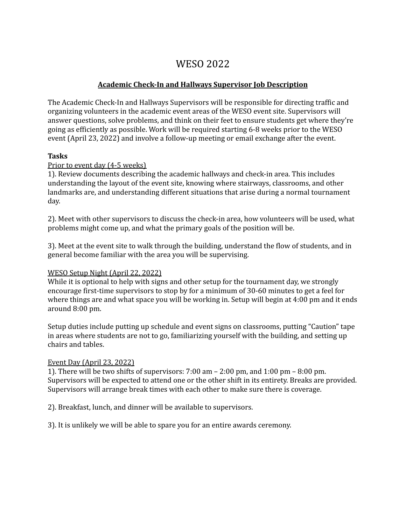# WESO 2022

## **Academic Check-In and Hallways Supervisor Job Description**

The Academic Check-In and Hallways Supervisors will be responsible for directing traffic and organizing volunteers in the academic event areas of the WESO event site. Supervisors will answer questions, solve problems, and think on their feet to ensure students get where they're going as efficiently as possible. Work will be required starting 6-8 weeks prior to the WESO event (April 23, 2022) and involve a follow-up meeting or email exchange after the event.

### **Tasks**

### Prior to event day (4-5 weeks)

1). Review documents describing the academic hallways and check-in area. This includes understanding the layout of the event site, knowing where stairways, classrooms, and other landmarks are, and understanding different situations that arise during a normal tournament day.

2). Meet with other supervisors to discuss the check-in area, how volunteers will be used, what problems might come up, and what the primary goals of the position will be.

3). Meet at the event site to walk through the building, understand the flow of students, and in general become familiar with the area you will be supervising.

## WESO Setup Night (April 22, 2022)

While it is optional to help with signs and other setup for the tournament day, we strongly encourage first-time supervisors to stop by for a minimum of 30-60 minutes to get a feel for where things are and what space you will be working in. Setup will begin at 4:00 pm and it ends around 8:00 pm.

Setup duties include putting up schedule and event signs on classrooms, putting "Caution" tape in areas where students are not to go, familiarizing yourself with the building, and setting up chairs and tables.

## Event Day (April 23, 2022)

1). There will be two shifts of supervisors: 7:00 am – 2:00 pm, and 1:00 pm – 8:00 pm. Supervisors will be expected to attend one or the other shift in its entirety. Breaks are provided. Supervisors will arrange break times with each other to make sure there is coverage.

2). Breakfast, lunch, and dinner will be available to supervisors.

3). It is unlikely we will be able to spare you for an entire awards ceremony.